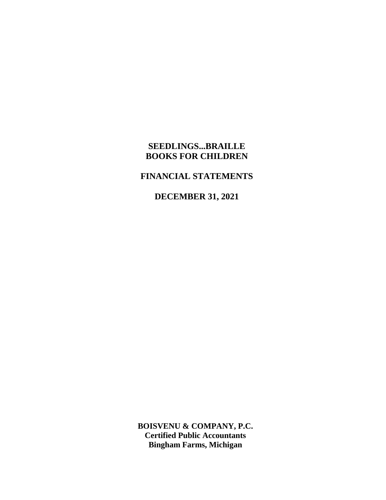# **FINANCIAL STATEMENTS**

# **DECEMBER 31, 2021**

**BOISVENU & COMPANY, P.C. Certified Public Accountants Bingham Farms, Michigan**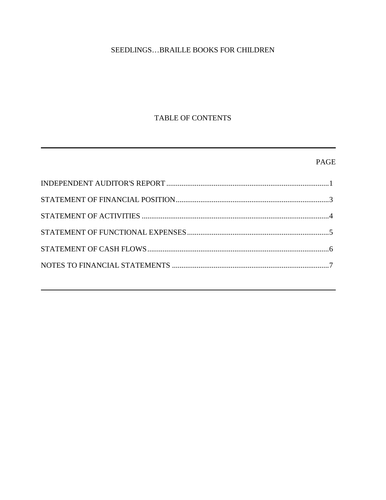# TABLE OF CONTENTS

# PAGE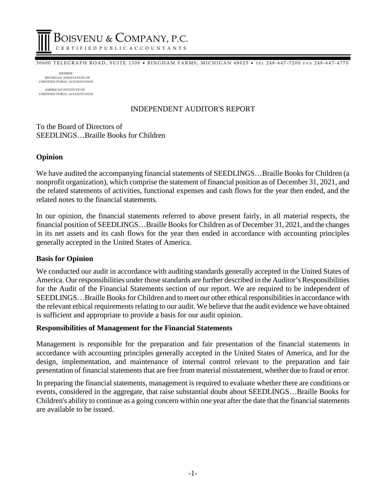<span id="page-2-0"></span>

30600 TELEGRAPH ROAD, SUITE 1300 • BINGHAM FARMS, MICHIGAN 48025 • TEL 248 - 647 - 7200 FAX 248 - 647 - 4770

MEMBER MICHIGAN ASSOCIATION OF CERTIFIED PUBLIC ACCOUNTANTS

AMERICAN INSTITUTE OF CERTIFIED PUBLIC ACCOUNTANTS

### INDEPENDENT AUDITOR'S REPORT

To the Board of Directors of SEEDLINGS…Braille Books for Children

#### **Opinion**

We have audited the accompanying financial statements of SEEDLINGS…Braille Books for Children (a nonprofit organization), which comprise the statement of financial position as of December 31, 2021, and the related statements of activities, functional expenses and cash flows for the year then ended, and the related notes to the financial statements.

In our opinion, the financial statements referred to above present fairly, in all material respects, the financial position of SEEDLINGS…Braille Books for Children as of December 31, 2021, and the changes in its net assets and its cash flows for the year then ended in accordance with accounting principles generally accepted in the United States of America.

#### **Basis for Opinion**

We conducted our audit in accordance with auditing standards generally accepted in the United States of America. Our responsibilities under those standards are further described in the Auditor's Responsibilities for the Audit of the Financial Statements section of our report. We are required to be independent of SEEDLINGS…Braille Books for Children and to meet our other ethical responsibilities in accordance with the relevant ethical requirements relating to our audit. We believe that the audit evidence we have obtained is sufficient and appropriate to provide a basis for our audit opinion.

#### **Responsibilities of Management for the Financial Statements**

Management is responsible for the preparation and fair presentation of the financial statements in accordance with accounting principles generally accepted in the United States of America, and for the design, implementation, and maintenance of internal control relevant to the preparation and fair presentation of financial statements that are free from material misstatement, whether due to fraud or error.

In preparing the financial statements, management is required to evaluate whether there are conditions or events, considered in the aggregate, that raise substantial doubt about SEEDLINGS…Braille Books for Children's ability to continue as a going concern within one year after the date that the financial statements are available to be issued.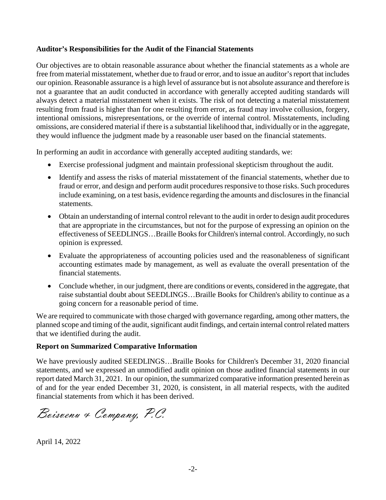# **Auditor's Responsibilities for the Audit of the Financial Statements**

Our objectives are to obtain reasonable assurance about whether the financial statements as a whole are free from material misstatement, whether due to fraud or error, and to issue an auditor's report that includes our opinion. Reasonable assurance is a high level of assurance but is not absolute assurance and therefore is not a guarantee that an audit conducted in accordance with generally accepted auditing standards will always detect a material misstatement when it exists. The risk of not detecting a material misstatement resulting from fraud is higher than for one resulting from error, as fraud may involve collusion, forgery, intentional omissions, misrepresentations, or the override of internal control. Misstatements, including omissions, are considered material if there is a substantial likelihood that, individually or in the aggregate, they would influence the judgment made by a reasonable user based on the financial statements.

In performing an audit in accordance with generally accepted auditing standards, we:

- Exercise professional judgment and maintain professional skepticism throughout the audit.
- Identify and assess the risks of material misstatement of the financial statements, whether due to fraud or error, and design and perform audit procedures responsive to those risks. Such procedures include examining, on a test basis, evidence regarding the amounts and disclosures in the financial statements.
- Obtain an understanding of internal control relevant to the audit in order to design audit procedures that are appropriate in the circumstances, but not for the purpose of expressing an opinion on the effectiveness of SEEDLINGS…Braille Books for Children's internal control. Accordingly, no such opinion is expressed.
- Evaluate the appropriateness of accounting policies used and the reasonableness of significant accounting estimates made by management, as well as evaluate the overall presentation of the financial statements.
- Conclude whether, in our judgment, there are conditions or events, considered in the aggregate, that raise substantial doubt about SEEDLINGS…Braille Books for Children's ability to continue as a going concern for a reasonable period of time.

We are required to communicate with those charged with governance regarding, among other matters, the planned scope and timing of the audit, significant audit findings, and certain internal control related matters that we identified during the audit.

### **Report on Summarized Comparative Information**

We have previously audited SEEDLINGS…Braille Books for Children's December 31, 2020 financial statements, and we expressed an unmodified audit opinion on those audited financial statements in our report dated March 31, 2021. In our opinion, the summarized comparative information presented herein as of and for the year ended December 31, 2020, is consistent, in all material respects, with the audited financial statements from which it has been derived.

Boisvenu & Company, P.C.

April 14, 2022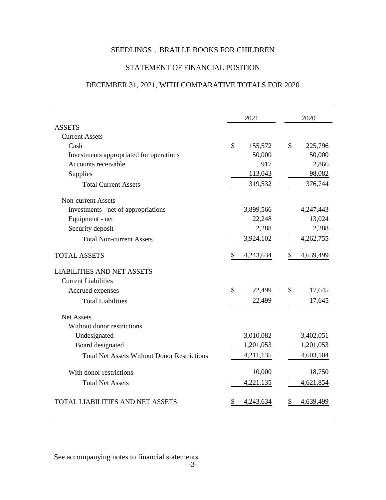# STATEMENT OF FINANCIAL POSITION

# DECEMBER 31, 2021, WITH COMPARATIVE TOTALS FOR 2020

<span id="page-4-0"></span>

|                                                    | 2021            | 2020            |
|----------------------------------------------------|-----------------|-----------------|
| <b>ASSETS</b>                                      |                 |                 |
| <b>Current Assets</b>                              |                 |                 |
| Cash                                               | \$<br>155,572   | \$<br>225,796   |
| Investments appropriated for operations            | 50,000          | 50,000          |
| Accounts receivable                                | 917             | 2,866           |
| Supplies                                           | 113,043         | 98,082          |
| <b>Total Current Assets</b>                        | 319,532         | 376,744         |
| <b>Non-current Assets</b>                          |                 |                 |
| Investments - net of appropriations                | 3,899,566       | 4,247,443       |
| Equipment - net                                    | 22,248          | 13,024          |
| Security deposit                                   | 2,288           | 2,288           |
| <b>Total Non-current Assets</b>                    | 3,924,102       | 4,262,755       |
| <b>TOTAL ASSETS</b>                                | \$<br>4,243,634 | \$<br>4,639,499 |
| <b>LIABILITIES AND NET ASSETS</b>                  |                 |                 |
| <b>Current Liabilities</b>                         |                 |                 |
| Accrued expenses                                   | \$<br>22,499    | \$<br>17,645    |
| <b>Total Liabilities</b>                           | 22,499          | 17,645          |
| <b>Net Assets</b>                                  |                 |                 |
| Without donor restrictions                         |                 |                 |
| Undesignated                                       | 3,010,082       | 3,402,051       |
| Board designated                                   | 1,201,053       | 1,201,053       |
| <b>Total Net Assets Without Donor Restrictions</b> | 4,211,135       | 4,603,104       |
| With donor restrictions                            | 10,000          | 18,750          |
| <b>Total Net Assets</b>                            | 4,221,135       | 4,621,854       |
| TOTAL LIABILITIES AND NET ASSETS                   | \$<br>4,243,634 | 4,639,499       |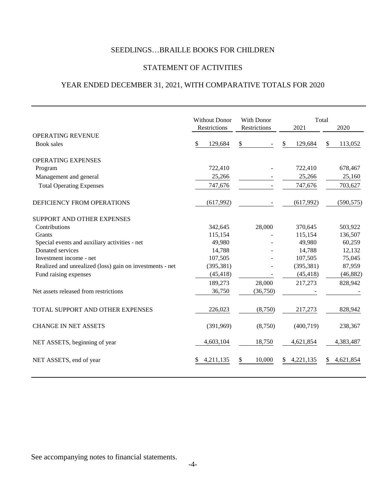# STATEMENT OF ACTIVITIES

# <span id="page-5-0"></span>YEAR ENDED DECEMBER 31, 2021, WITH COMPARATIVE TOTALS FOR 2020

|                                                          | <b>Without Donor</b><br><b>With Donor</b><br>Restrictions<br>Restrictions |          | Total<br>2021   | 2020           |
|----------------------------------------------------------|---------------------------------------------------------------------------|----------|-----------------|----------------|
| <b>OPERATING REVENUE</b><br><b>Book sales</b>            | \$<br>129,684                                                             | \$       | 129,684<br>\$   | \$<br>113,052  |
| <b>OPERATING EXPENSES</b>                                |                                                                           |          |                 |                |
| Program                                                  | 722,410                                                                   |          | 722,410         | 678,467        |
| Management and general                                   | 25,266                                                                    |          | 25,266          | 25,160         |
| <b>Total Operating Expenses</b>                          | 747,676                                                                   |          | 747,676         | 703,627        |
| DEFICIENCY FROM OPERATIONS                               | (617,992)                                                                 |          | (617,992)       | (590, 575)     |
| SUPPORT AND OTHER EXPENSES                               |                                                                           |          |                 |                |
| Contributions                                            | 342,645                                                                   | 28,000   | 370,645         | 503,922        |
| Grants                                                   | 115,154                                                                   |          | 115.154         | 136,507        |
| Special events and auxiliary activities - net            | 49,980                                                                    |          | 49,980          | 60,259         |
| Donated services                                         | 14,788                                                                    |          | 14,788          | 12,132         |
| Investment income - net                                  | 107,505                                                                   |          | 107,505         | 75,045         |
| Realized and unrealized (loss) gain on investments - net | (395, 381)                                                                |          | (395, 381)      | 87,959         |
| Fund raising expenses                                    | (45, 418)                                                                 |          | (45, 418)       | (46, 882)      |
|                                                          | 189,273                                                                   | 28,000   | 217,273         | 828,942        |
| Net assets released from restrictions                    | 36,750                                                                    | (36,750) |                 |                |
| TOTAL SUPPORT AND OTHER EXPENSES                         | 226,023                                                                   | (8,750)  | 217,273         | 828,942        |
| <b>CHANGE IN NET ASSETS</b>                              | (391,969)                                                                 | (8,750)  | (400, 719)      | 238,367        |
| NET ASSETS, beginning of year                            | 4,603,104                                                                 | 18,750   | 4,621,854       | 4,383,487      |
| NET ASSETS, end of year                                  | 4,211,135<br>\$.                                                          | 10,000   | 4,221,135<br>\$ | 4,621,854<br>S |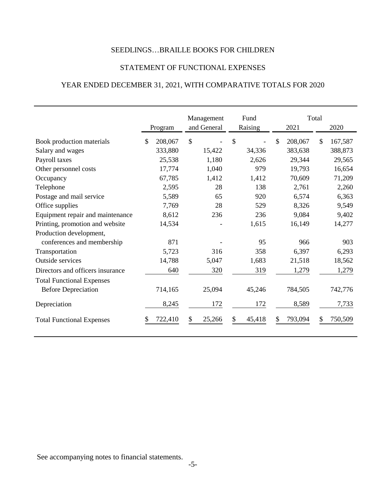# STATEMENT OF FUNCTIONAL EXPENSES

# <span id="page-6-0"></span>YEAR ENDED DECEMBER 31, 2021, WITH COMPARATIVE TOTALS FOR 2020

|                                  | Program       |               | Management<br>and General | Fund<br>Raising |    | 2021    | Total         | 2020    |
|----------------------------------|---------------|---------------|---------------------------|-----------------|----|---------|---------------|---------|
| Book production materials        | \$<br>208,067 | $\mathcal{S}$ |                           | \$              | \$ | 208,067 | $\mathcal{S}$ | 167,587 |
| Salary and wages                 | 333,880       |               | 15,422                    | 34,336          |    | 383,638 |               | 388,873 |
| Payroll taxes                    | 25,538        |               | 1,180                     | 2,626           |    | 29,344  |               | 29,565  |
| Other personnel costs            | 17,774        |               | 1,040                     | 979             |    | 19,793  |               | 16,654  |
| Occupancy                        | 67,785        |               | 1,412                     | 1,412           |    | 70,609  |               | 71,209  |
| Telephone                        | 2,595         |               | 28                        | 138             |    | 2,761   |               | 2,260   |
| Postage and mail service         | 5,589         |               | 65                        | 920             |    | 6,574   |               | 6,363   |
| Office supplies                  | 7,769         |               | 28                        | 529             |    | 8,326   |               | 9,549   |
| Equipment repair and maintenance | 8,612         |               | 236                       | 236             |    | 9,084   |               | 9,402   |
| Printing, promotion and website  | 14,534        |               |                           | 1,615           |    | 16,149  |               | 14,277  |
| Production development,          |               |               |                           |                 |    |         |               |         |
| conferences and membership       | 871           |               |                           | 95              |    | 966     |               | 903     |
| Transportation                   | 5,723         |               | 316                       | 358             |    | 6,397   |               | 6,293   |
| <b>Outside services</b>          | 14,788        |               | 5,047                     | 1,683           |    | 21,518  |               | 18,562  |
| Directors and officers insurance | 640           |               | 320                       | 319             |    | 1,279   |               | 1,279   |
| <b>Total Functional Expenses</b> |               |               |                           |                 |    |         |               |         |
| <b>Before Depreciation</b>       | 714,165       |               | 25,094                    | 45,246          |    | 784,505 |               | 742,776 |
| Depreciation                     | 8,245         |               | 172                       | 172             |    | 8,589   |               | 7,733   |
| <b>Total Functional Expenses</b> | 722,410       | \$            | 25,266                    | \$<br>45,418    | S  | 793,094 | S             | 750,509 |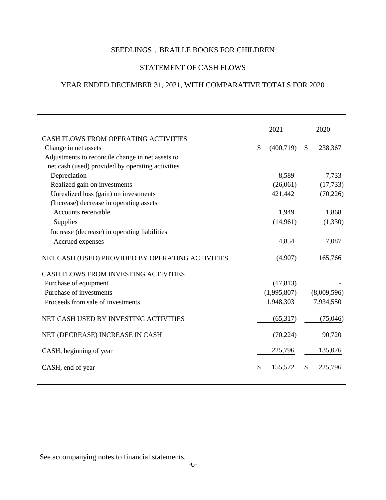# STATEMENT OF CASH FLOWS

# <span id="page-7-0"></span>YEAR ENDED DECEMBER 31, 2021, WITH COMPARATIVE TOTALS FOR 2020

|                                                  |    | 2021        |              | 2020        |
|--------------------------------------------------|----|-------------|--------------|-------------|
| CASH FLOWS FROM OPERATING ACTIVITIES             |    |             |              |             |
| Change in net assets                             | \$ | (400, 719)  | $\mathbb{S}$ | 238,367     |
| Adjustments to reconcile change in net assets to |    |             |              |             |
| net cash (used) provided by operating activities |    |             |              |             |
| Depreciation                                     |    | 8,589       |              | 7,733       |
| Realized gain on investments                     |    | (26,061)    |              | (17, 733)   |
| Unrealized loss (gain) on investments            |    | 421,442     |              | (70, 226)   |
| (Increase) decrease in operating assets          |    |             |              |             |
| Accounts receivable                              |    | 1,949       |              | 1,868       |
| Supplies                                         |    | (14,961)    |              | (1,330)     |
| Increase (decrease) in operating liabilities     |    |             |              |             |
| Accrued expenses                                 |    | 4,854       |              | 7,087       |
| NET CASH (USED) PROVIDED BY OPERATING ACTIVITIES |    | (4,907)     |              | 165,766     |
| CASH FLOWS FROM INVESTING ACTIVITIES             |    |             |              |             |
| Purchase of equipment                            |    | (17, 813)   |              |             |
| Purchase of investments                          |    | (1,995,807) |              | (8,009,596) |
| Proceeds from sale of investments                |    | 1,948,303   |              | 7,934,550   |
| NET CASH USED BY INVESTING ACTIVITIES            |    | (65, 317)   |              | (75,046)    |
| NET (DECREASE) INCREASE IN CASH                  |    | (70, 224)   |              | 90,720      |
| CASH, beginning of year                          |    | 225,796     |              | 135,076     |
| CASH, end of year                                | S  | 155,572     |              | 225,796     |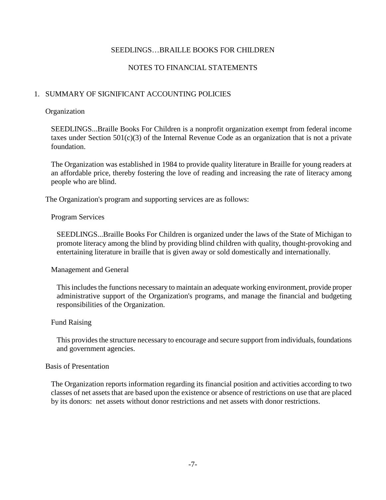# NOTES TO FINANCIAL STATEMENTS

# <span id="page-8-0"></span>1. SUMMARY OF SIGNIFICANT ACCOUNTING POLICIES

#### **Organization**

SEEDLINGS...Braille Books For Children is a nonprofit organization exempt from federal income taxes under Section 501(c)(3) of the Internal Revenue Code as an organization that is not a private foundation.

The Organization was established in 1984 to provide quality literature in Braille for young readers at an affordable price, thereby fostering the love of reading and increasing the rate of literacy among people who are blind.

The Organization's program and supporting services are as follows:

#### Program Services

SEEDLINGS...Braille Books For Children is organized under the laws of the State of Michigan to promote literacy among the blind by providing blind children with quality, thought-provoking and entertaining literature in braille that is given away or sold domestically and internationally.

#### Management and General

This includes the functions necessary to maintain an adequate working environment, provide proper administrative support of the Organization's programs, and manage the financial and budgeting responsibilities of the Organization.

#### Fund Raising

This provides the structure necessary to encourage and secure support from individuals, foundations and government agencies.

#### Basis of Presentation

The Organization reports information regarding its financial position and activities according to two classes of net assets that are based upon the existence or absence of restrictions on use that are placed by its donors: net assets without donor restrictions and net assets with donor restrictions.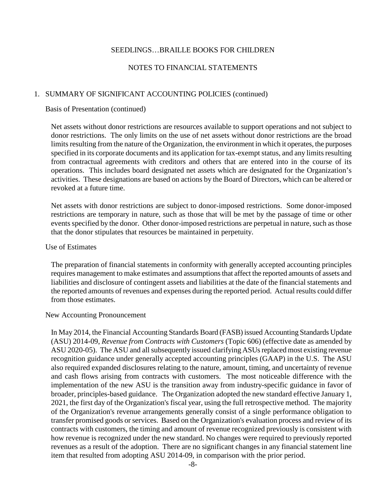### NOTES TO FINANCIAL STATEMENTS

#### 1. SUMMARY OF SIGNIFICANT ACCOUNTING POLICIES (continued)

#### Basis of Presentation (continued)

Net assets without donor restrictions are resources available to support operations and not subject to donor restrictions. The only limits on the use of net assets without donor restrictions are the broad limits resulting from the nature of the Organization, the environment in which it operates, the purposes specified in its corporate documents and its application for tax-exempt status, and any limits resulting from contractual agreements with creditors and others that are entered into in the course of its operations. This includes board designated net assets which are designated for the Organization's activities. These designations are based on actions by the Board of Directors, which can be altered or revoked at a future time.

Net assets with donor restrictions are subject to donor-imposed restrictions. Some donor-imposed restrictions are temporary in nature, such as those that will be met by the passage of time or other events specified by the donor. Other donor-imposed restrictions are perpetual in nature, such as those that the donor stipulates that resources be maintained in perpetuity.

#### Use of Estimates

The preparation of financial statements in conformity with generally accepted accounting principles requires management to make estimates and assumptions that affect the reported amounts of assets and liabilities and disclosure of contingent assets and liabilities at the date of the financial statements and the reported amounts of revenues and expenses during the reported period. Actual results could differ from those estimates.

#### New Accounting Pronouncement

In May 2014, the Financial Accounting Standards Board (FASB) issued Accounting Standards Update (ASU) 2014-09, *Revenue from Contracts with Customers* (Topic 606) (effective date as amended by ASU 2020-05). The ASU and all subsequently issued clarifying ASUs replaced most existing revenue recognition guidance under generally accepted accounting principles (GAAP) in the U.S. The ASU also required expanded disclosures relating to the nature, amount, timing, and uncertainty of revenue and cash flows arising from contracts with customers. The most noticeable difference with the implementation of the new ASU is the transition away from industry-specific guidance in favor of broader, principles-based guidance. The Organization adopted the new standard effective January 1, 2021, the first day of the Organization's fiscal year, using the full retrospective method. The majority of the Organization's revenue arrangements generally consist of a single performance obligation to transfer promised goods or services. Based on the Organization's evaluation process and review of its contracts with customers, the timing and amount of revenue recognized previously is consistent with how revenue is recognized under the new standard. No changes were required to previously reported revenues as a result of the adoption. There are no significant changes in any financial statement line item that resulted from adopting ASU 2014-09, in comparison with the prior period.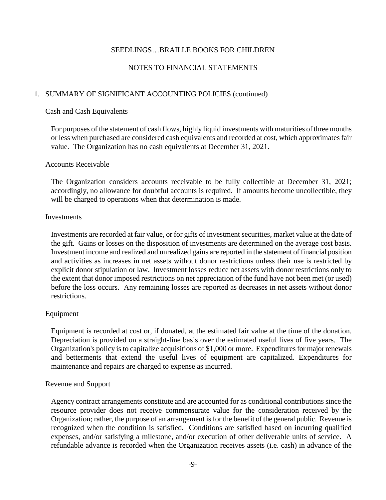# NOTES TO FINANCIAL STATEMENTS

# 1. SUMMARY OF SIGNIFICANT ACCOUNTING POLICIES (continued)

#### Cash and Cash Equivalents

For purposes of the statement of cash flows, highly liquid investments with maturities of three months or less when purchased are considered cash equivalents and recorded at cost, which approximates fair value. The Organization has no cash equivalents at December 31, 2021.

#### Accounts Receivable

The Organization considers accounts receivable to be fully collectible at December 31, 2021; accordingly, no allowance for doubtful accounts is required. If amounts become uncollectible, they will be charged to operations when that determination is made.

#### **Investments**

Investments are recorded at fair value, or for gifts of investment securities, market value at the date of the gift. Gains or losses on the disposition of investments are determined on the average cost basis. Investment income and realized and unrealized gains are reported in the statement of financial position and activities as increases in net assets without donor restrictions unless their use is restricted by explicit donor stipulation or law. Investment losses reduce net assets with donor restrictions only to the extent that donor imposed restrictions on net appreciation of the fund have not been met (or used) before the loss occurs. Any remaining losses are reported as decreases in net assets without donor restrictions.

### Equipment

Equipment is recorded at cost or, if donated, at the estimated fair value at the time of the donation. Depreciation is provided on a straight-line basis over the estimated useful lives of five years. The Organization's policy is to capitalize acquisitions of \$1,000 or more. Expenditures for major renewals and betterments that extend the useful lives of equipment are capitalized. Expenditures for maintenance and repairs are charged to expense as incurred.

### Revenue and Support

Agency contract arrangements constitute and are accounted for as conditional contributions since the resource provider does not receive commensurate value for the consideration received by the Organization; rather, the purpose of an arrangement is for the benefit of the general public. Revenue is recognized when the condition is satisfied. Conditions are satisfied based on incurring qualified expenses, and/or satisfying a milestone, and/or execution of other deliverable units of service. A refundable advance is recorded when the Organization receives assets (i.e. cash) in advance of the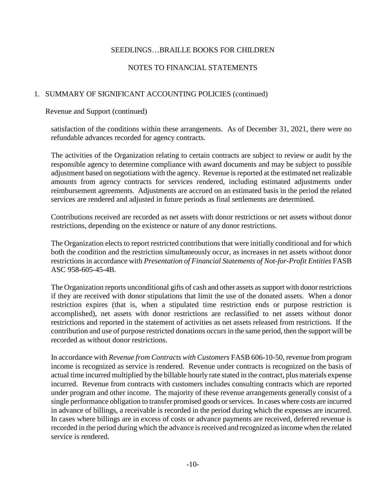# NOTES TO FINANCIAL STATEMENTS

# 1. SUMMARY OF SIGNIFICANT ACCOUNTING POLICIES (continued)

#### Revenue and Support (continued)

satisfaction of the conditions within these arrangements. As of December 31, 2021, there were no refundable advances recorded for agency contracts.

The activities of the Organization relating to certain contracts are subject to review or audit by the responsible agency to determine compliance with award documents and may be subject to possible adjustment based on negotiations with the agency. Revenue is reported at the estimated net realizable amounts from agency contracts for services rendered, including estimated adjustments under reimbursement agreements. Adjustments are accrued on an estimated basis in the period the related services are rendered and adjusted in future periods as final settlements are determined.

Contributions received are recorded as net assets with donor restrictions or net assets without donor restrictions, depending on the existence or nature of any donor restrictions.

The Organization elects to report restricted contributions that were initially conditional and for which both the condition and the restriction simultaneously occur, as increases in net assets without donor restrictions in accordance with *Presentation of Financial Statements of Not-for-Profit Entities FASB* ASC 958-605-45-4B.

The Organization reports unconditional gifts of cash and other assets as support with donor restrictions if they are received with donor stipulations that limit the use of the donated assets. When a donor restriction expires (that is, when a stipulated time restriction ends or purpose restriction is accomplished), net assets with donor restrictions are reclassified to net assets without donor restrictions and reported in the statement of activities as net assets released from restrictions. If the contribution and use of purpose restricted donations occurs in the same period, then the support will be recorded as without donor restrictions.

In accordance with *Revenue from Contracts with Customers* FASB 606-10-50, revenue from program income is recognized as service is rendered. Revenue under contracts is recognized on the basis of actual time incurred multiplied by the billable hourly rate stated in the contract, plus materials expense incurred. Revenue from contracts with customers includes consulting contracts which are reported under program and other income. The majority of these revenue arrangements generally consist of a single performance obligation to transfer promised goods or services. In cases where costs are incurred in advance of billings, a receivable is recorded in the period during which the expenses are incurred. In cases where billings are in excess of costs or advance payments are received, deferred revenue is recorded in the period during which the advance is received and recognized as income when the related service is rendered.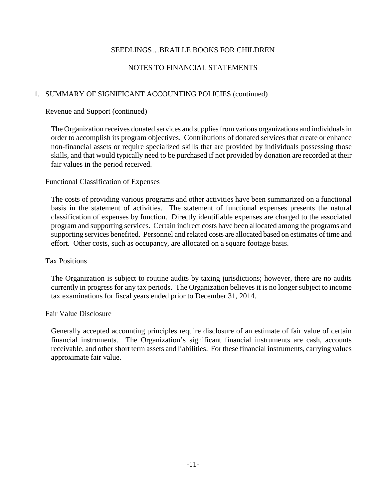# NOTES TO FINANCIAL STATEMENTS

# 1. SUMMARY OF SIGNIFICANT ACCOUNTING POLICIES (continued)

### Revenue and Support (continued)

The Organization receives donated services and supplies from various organizations and individuals in order to accomplish its program objectives. Contributions of donated services that create or enhance non-financial assets or require specialized skills that are provided by individuals possessing those skills, and that would typically need to be purchased if not provided by donation are recorded at their fair values in the period received.

#### Functional Classification of Expenses

The costs of providing various programs and other activities have been summarized on a functional basis in the statement of activities. The statement of functional expenses presents the natural classification of expenses by function. Directly identifiable expenses are charged to the associated program and supporting services. Certain indirect costs have been allocated among the programs and supporting services benefited. Personnel and related costs are allocated based on estimates of time and effort. Other costs, such as occupancy, are allocated on a square footage basis.

#### Tax Positions

The Organization is subject to routine audits by taxing jurisdictions; however, there are no audits currently in progress for any tax periods. The Organization believes it is no longer subject to income tax examinations for fiscal years ended prior to December 31, 2014.

#### Fair Value Disclosure

Generally accepted accounting principles require disclosure of an estimate of fair value of certain financial instruments. The Organization's significant financial instruments are cash, accounts receivable, and other short term assets and liabilities. For these financial instruments, carrying values approximate fair value.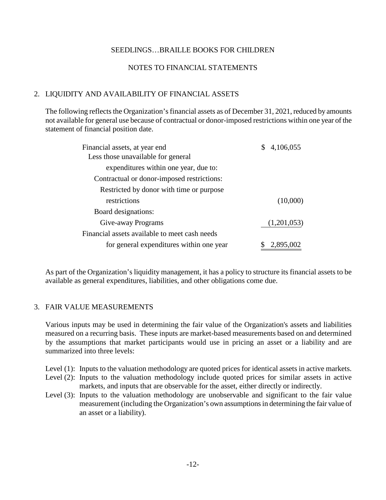# NOTES TO FINANCIAL STATEMENTS

# 2. LIQUIDITY AND AVAILABILITY OF FINANCIAL ASSETS

The following reflects the Organization's financial assets as of December 31, 2021, reduced by amounts not available for general use because of contractual or donor-imposed restrictions within one year of the statement of financial position date.

| Financial assets, at year end                 | 4,106,055   |
|-----------------------------------------------|-------------|
| Less those unavailable for general            |             |
| expenditures within one year, due to:         |             |
| Contractual or donor-imposed restrictions:    |             |
| Restricted by donor with time or purpose      |             |
| restrictions                                  | (10,000)    |
| Board designations:                           |             |
| Give-away Programs                            | (1,201,053) |
| Financial assets available to meet cash needs |             |
| for general expenditures within one year      | 2,895,002   |

As part of the Organization's liquidity management, it has a policy to structure its financial assets to be available as general expenditures, liabilities, and other obligations come due.

### 3. FAIR VALUE MEASUREMENTS

Various inputs may be used in determining the fair value of the Organization's assets and liabilities measured on a recurring basis. These inputs are market-based measurements based on and determined by the assumptions that market participants would use in pricing an asset or a liability and are summarized into three levels:

Level (1): Inputs to the valuation methodology are quoted prices for identical assets in active markets.

- Level (2): Inputs to the valuation methodology include quoted prices for similar assets in active markets, and inputs that are observable for the asset, either directly or indirectly.
- Level (3): Inputs to the valuation methodology are unobservable and significant to the fair value measurement (including the Organization's own assumptions in determining the fair value of an asset or a liability).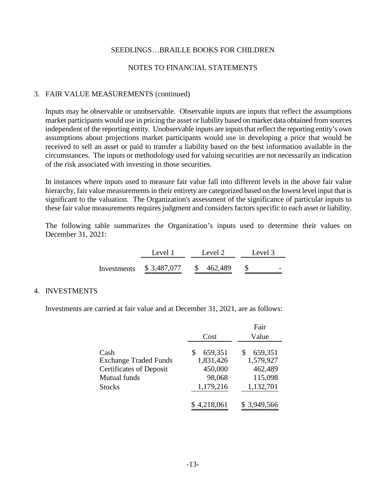# NOTES TO FINANCIAL STATEMENTS

## 3. FAIR VALUE MEASUREMENTS (continued)

Inputs may be observable or unobservable. Observable inputs are inputs that reflect the assumptions market participants would use in pricing the asset or liability based on market data obtained from sources independent of the reporting entity. Unobservable inputs are inputs that reflect the reporting entity's own assumptions about projections market participants would use in developing a price that would be received to sell an asset or paid to transfer a liability based on the best information available in the circumstances. The inputs or methodology used for valuing securities are not necessarily an indication of the risk associated with investing in those securities.

In instances where inputs used to measure fair value fall into different levels in the above fair value hierarchy, fair value measurements in their entirety are categorized based on the lowest level input that is significant to the valuation. The Organization's assessment of the significance of particular inputs to these fair value measurements requires judgment and considers factors specific to each asset or liability.

The following table summarizes the Organization's inputs used to determine their values on December 31, 2021:

|             | Level 1     | Level 2 | Level 3 |
|-------------|-------------|---------|---------|
| Investments | \$3,487,077 | 462,489 |         |

### 4. INVESTMENTS

Investments are carried at fair value and at December 31, 2021, are as follows:

|                                |              | Fair        |
|--------------------------------|--------------|-------------|
|                                | Cost         | Value       |
|                                |              |             |
| Cash                           | 659,351<br>S | 659,351     |
| <b>Exchange Traded Funds</b>   | 1,831,426    | 1,579,927   |
| <b>Certificates of Deposit</b> | 450,000      | 462,489     |
| Mutual funds                   | 98,068       | 115,098     |
| <b>Stocks</b>                  | 1,179,216    | 1,132,701   |
|                                | \$4,218,061  | \$3,949,566 |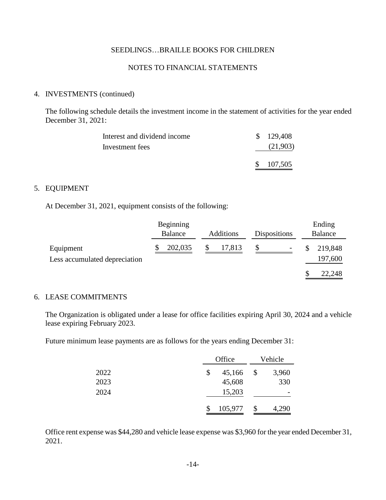## NOTES TO FINANCIAL STATEMENTS

### 4. INVESTMENTS (continued)

The following schedule details the investment income in the statement of activities for the year ended December 31, 2021:

| Interest and dividend income | \$129,408 |
|------------------------------|-----------|
| Investment fees              | (21,903)  |
|                              | \$107,505 |

#### 5. EQUIPMENT

At December 31, 2021, equipment consists of the following:

|                                            | Beginning<br><b>Balance</b> | <b>Additions</b> | <b>Dispositions</b>      | Ending<br><b>Balance</b> |
|--------------------------------------------|-----------------------------|------------------|--------------------------|--------------------------|
| Equipment<br>Less accumulated depreciation | 202,035                     | 17,813           | $\overline{\phantom{0}}$ | 219,848<br>197,600       |
|                                            |                             |                  |                          | 22,248                   |

### 6. LEASE COMMITMENTS

The Organization is obligated under a lease for office facilities expiring April 30, 2024 and a vehicle lease expiring February 2023.

Future minimum lease payments are as follows for the years ending December 31:

|      | Office       | Vehicle |
|------|--------------|---------|
| 2022 | \$<br>45,166 | 3,960   |
| 2023 | 45,608       | 330     |
| 2024 | 15,203       |         |
|      | 105,977      | 4,290   |

Office rent expense was \$44,280 and vehicle lease expense was \$3,960 for the year ended December 31, 2021.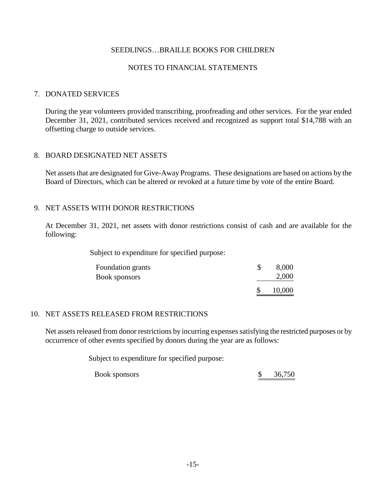# NOTES TO FINANCIAL STATEMENTS

### 7. DONATED SERVICES

During the year volunteers provided transcribing, proofreading and other services. For the year ended December 31, 2021, contributed services received and recognized as support total \$14,788 with an offsetting charge to outside services.

#### 8. BOARD DESIGNATED NET ASSETS

Net assets that are designated for Give-Away Programs. These designations are based on actions by the Board of Directors, which can be altered or revoked at a future time by vote of the entire Board.

### 9. NET ASSETS WITH DONOR RESTRICTIONS

At December 31, 2021, net assets with donor restrictions consist of cash and are available for the following:

Subject to expenditure for specified purpose:

| Foundation grants | 8,000  |
|-------------------|--------|
| Book sponsors     | 2,000  |
|                   | 10,000 |

### 10. NET ASSETS RELEASED FROM RESTRICTIONS

Net assets released from donor restrictions by incurring expenses satisfying the restricted purposes or by occurrence of other events specified by donors during the year are as follows:

Subject to expenditure for specified purpose:

Book sponsors \$ 36,750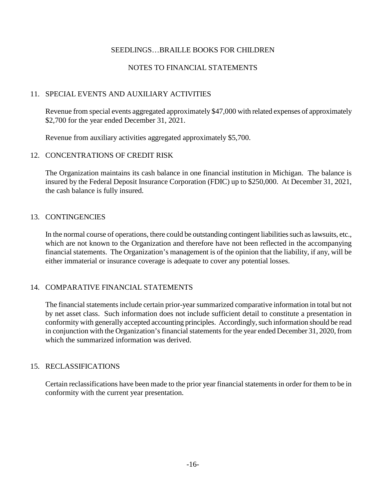# NOTES TO FINANCIAL STATEMENTS

# 11. SPECIAL EVENTS AND AUXILIARY ACTIVITIES

Revenue from special events aggregated approximately \$47,000 with related expenses of approximately \$2,700 for the year ended December 31, 2021.

Revenue from auxiliary activities aggregated approximately \$5,700.

# 12. CONCENTRATIONS OF CREDIT RISK

The Organization maintains its cash balance in one financial institution in Michigan. The balance is insured by the Federal Deposit Insurance Corporation (FDIC) up to \$250,000. At December 31, 2021, the cash balance is fully insured.

# 13. CONTINGENCIES

In the normal course of operations, there could be outstanding contingent liabilities such as lawsuits, etc., which are not known to the Organization and therefore have not been reflected in the accompanying financial statements. The Organization's management is of the opinion that the liability, if any, will be either immaterial or insurance coverage is adequate to cover any potential losses.

# 14. COMPARATIVE FINANCIAL STATEMENTS

The financial statements include certain prior-year summarized comparative information in total but not by net asset class. Such information does not include sufficient detail to constitute a presentation in conformity with generally accepted accounting principles. Accordingly, such information should be read in conjunction with the Organization's financial statements for the year ended December 31, 2020, from which the summarized information was derived.

# 15. RECLASSIFICATIONS

Certain reclassifications have been made to the prior year financial statements in order for them to be in conformity with the current year presentation.